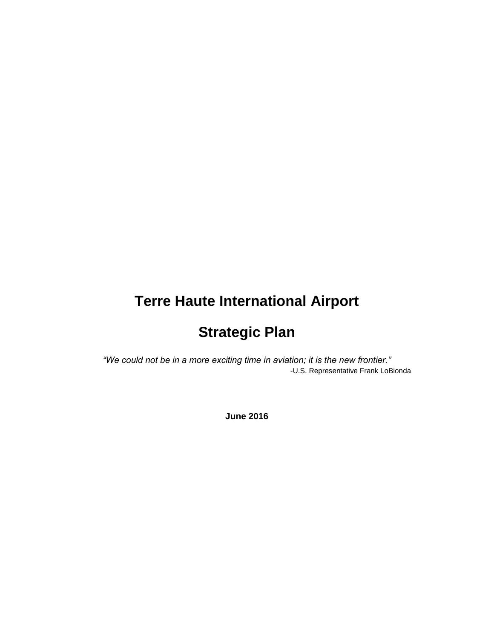# **Terre Haute International Airport**

# **Strategic Plan**

*"We could not be in a more exciting time in aviation; it is the new frontier."* -U.S. Representative Frank LoBionda

**June 2016**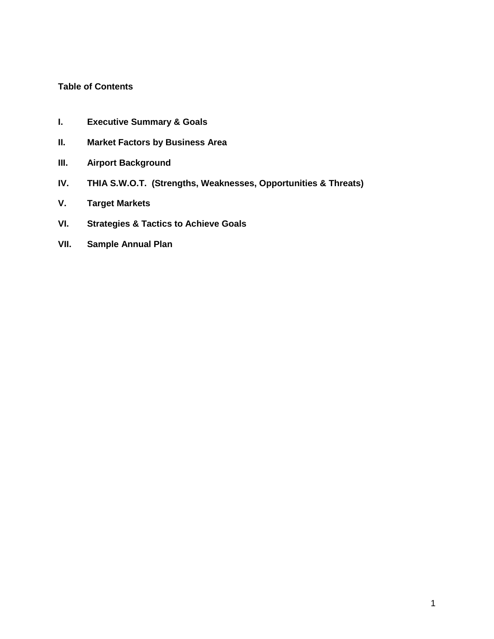#### **Table of Contents**

- **I. Executive Summary & Goals**
- **II. Market Factors by Business Area**
- **III. Airport Background**
- **IV. THIA S.W.O.T. (Strengths, Weaknesses, Opportunities & Threats)**
- **V. Target Markets**
- **VI. Strategies & Tactics to Achieve Goals**
- **VII. Sample Annual Plan**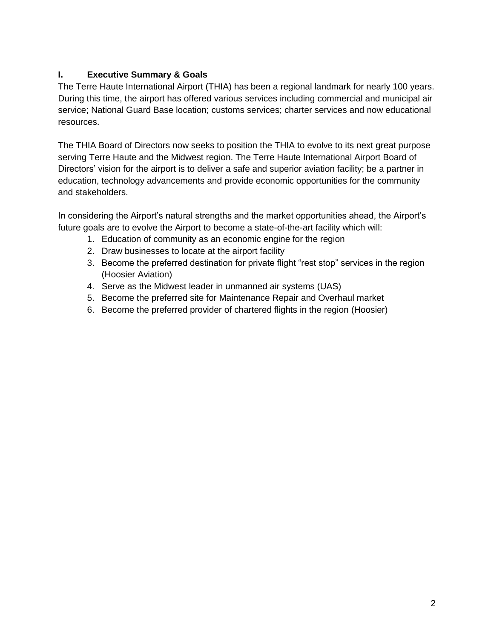# **I. Executive Summary & Goals**

The Terre Haute International Airport (THIA) has been a regional landmark for nearly 100 years. During this time, the airport has offered various services including commercial and municipal air service; National Guard Base location; customs services; charter services and now educational resources.

The THIA Board of Directors now seeks to position the THIA to evolve to its next great purpose serving Terre Haute and the Midwest region. The Terre Haute International Airport Board of Directors' vision for the airport is to deliver a safe and superior aviation facility; be a partner in education, technology advancements and provide economic opportunities for the community and stakeholders.

In considering the Airport's natural strengths and the market opportunities ahead, the Airport's future goals are to evolve the Airport to become a state-of-the-art facility which will:

- 1. Education of community as an economic engine for the region
- 2. Draw businesses to locate at the airport facility
- 3. Become the preferred destination for private flight "rest stop" services in the region (Hoosier Aviation)
- 4. Serve as the Midwest leader in unmanned air systems (UAS)
- 5. Become the preferred site for Maintenance Repair and Overhaul market
- 6. Become the preferred provider of chartered flights in the region (Hoosier)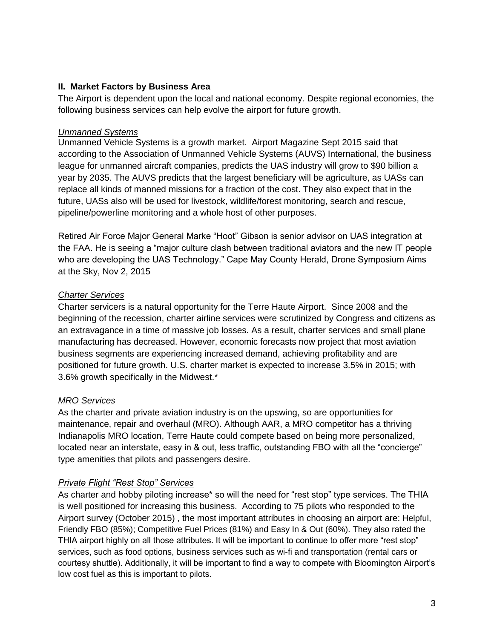#### **II. Market Factors by Business Area**

The Airport is dependent upon the local and national economy. Despite regional economies, the following business services can help evolve the airport for future growth.

#### *Unmanned Systems*

Unmanned Vehicle Systems is a growth market. Airport Magazine Sept 2015 said that according to the Association of Unmanned Vehicle Systems (AUVS) International, the business league for unmanned aircraft companies, predicts the UAS industry will grow to \$90 billion a year by 2035. The AUVS predicts that the largest beneficiary will be agriculture, as UASs can replace all kinds of manned missions for a fraction of the cost. They also expect that in the future, UASs also will be used for livestock, wildlife/forest monitoring, search and rescue, pipeline/powerline monitoring and a whole host of other purposes.

Retired Air Force Major General Marke "Hoot" Gibson is senior advisor on UAS integration at the FAA. He is seeing a "major culture clash between traditional aviators and the new IT people who are developing the UAS Technology." Cape May County Herald, Drone Symposium Aims at the Sky, Nov 2, 2015

#### *Charter Services*

Charter servicers is a natural opportunity for the Terre Haute Airport. Since 2008 and the beginning of the recession, charter airline services were scrutinized by Congress and citizens as an extravagance in a time of massive job losses. As a result, charter services and small plane manufacturing has decreased. However, economic forecasts now project that most aviation business segments are experiencing increased demand, achieving profitability and are positioned for future growth. U.S. charter market is expected to increase 3.5% in 2015; with 3.6% growth specifically in the Midwest.\*

#### *MRO Services*

As the charter and private aviation industry is on the upswing, so are opportunities for maintenance, repair and overhaul (MRO). Although AAR, a MRO competitor has a thriving Indianapolis MRO location, Terre Haute could compete based on being more personalized, located near an interstate, easy in & out, less traffic, outstanding FBO with all the "concierge" type amenities that pilots and passengers desire.

#### *Private Flight "Rest Stop" Services*

As charter and hobby piloting increase\* so will the need for "rest stop" type services. The THIA is well positioned for increasing this business. According to 75 pilots who responded to the Airport survey (October 2015) , the most important attributes in choosing an airport are: Helpful, Friendly FBO (85%); Competitive Fuel Prices (81%) and Easy In & Out (60%). They also rated the THIA airport highly on all those attributes. It will be important to continue to offer more "rest stop" services, such as food options, business services such as wi-fi and transportation (rental cars or courtesy shuttle). Additionally, it will be important to find a way to compete with Bloomington Airport's low cost fuel as this is important to pilots.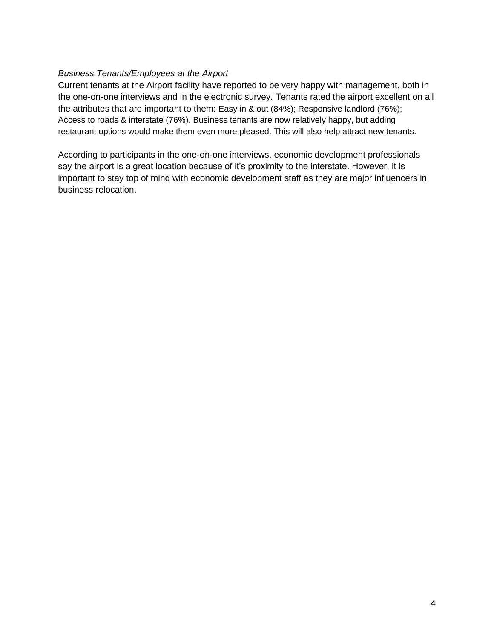## *Business Tenants/Employees at the Airport*

Current tenants at the Airport facility have reported to be very happy with management, both in the one-on-one interviews and in the electronic survey. Tenants rated the airport excellent on all the attributes that are important to them: Easy in & out (84%); Responsive landlord (76%); Access to roads & interstate (76%). Business tenants are now relatively happy, but adding restaurant options would make them even more pleased. This will also help attract new tenants.

According to participants in the one-on-one interviews, economic development professionals say the airport is a great location because of it's proximity to the interstate. However, it is important to stay top of mind with economic development staff as they are major influencers in business relocation.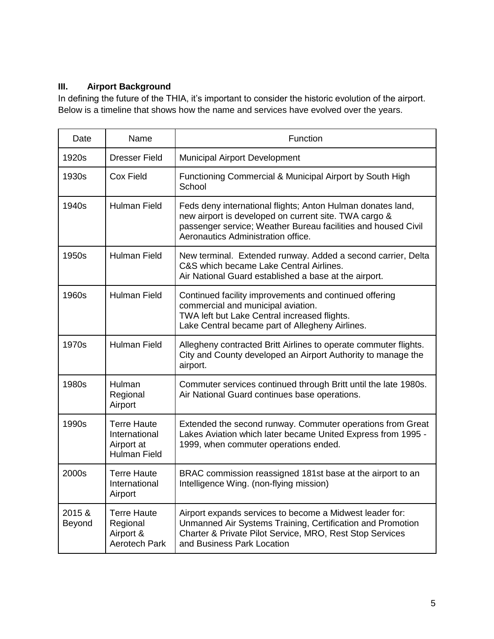# **III. Airport Background**

In defining the future of the THIA, it's important to consider the historic evolution of the airport. Below is a timeline that shows how the name and services have evolved over the years.

| Date             | Name                                                                     | Function                                                                                                                                                                                                                    |
|------------------|--------------------------------------------------------------------------|-----------------------------------------------------------------------------------------------------------------------------------------------------------------------------------------------------------------------------|
| 1920s            | <b>Dresser Field</b>                                                     | <b>Municipal Airport Development</b>                                                                                                                                                                                        |
| 1930s            | Cox Field                                                                | Functioning Commercial & Municipal Airport by South High<br>School                                                                                                                                                          |
| 1940s            | <b>Hulman Field</b>                                                      | Feds deny international flights; Anton Hulman donates land,<br>new airport is developed on current site. TWA cargo &<br>passenger service; Weather Bureau facilities and housed Civil<br>Aeronautics Administration office. |
| 1950s            | <b>Hulman Field</b>                                                      | New terminal. Extended runway. Added a second carrier, Delta<br>C&S which became Lake Central Airlines.<br>Air National Guard established a base at the airport.                                                            |
| 1960s            | <b>Hulman Field</b>                                                      | Continued facility improvements and continued offering<br>commercial and municipal aviation.<br>TWA left but Lake Central increased flights.<br>Lake Central became part of Allegheny Airlines.                             |
| 1970s            | <b>Hulman Field</b>                                                      | Allegheny contracted Britt Airlines to operate commuter flights.<br>City and County developed an Airport Authority to manage the<br>airport.                                                                                |
| 1980s            | Hulman<br>Regional<br>Airport                                            | Commuter services continued through Britt until the late 1980s.<br>Air National Guard continues base operations.                                                                                                            |
| 1990s            | <b>Terre Haute</b><br>International<br>Airport at<br><b>Hulman Field</b> | Extended the second runway. Commuter operations from Great<br>Lakes Aviation which later became United Express from 1995 -<br>1999, when commuter operations ended.                                                         |
| 2000s            | <b>Terre Haute</b><br>International<br>Airport                           | BRAC commission reassigned 181st base at the airport to an<br>Intelligence Wing. (non-flying mission)                                                                                                                       |
| 2015 &<br>Beyond | <b>Terre Haute</b><br>Regional<br>Airport &<br>Aerotech Park             | Airport expands services to become a Midwest leader for:<br>Unmanned Air Systems Training, Certification and Promotion<br>Charter & Private Pilot Service, MRO, Rest Stop Services<br>and Business Park Location            |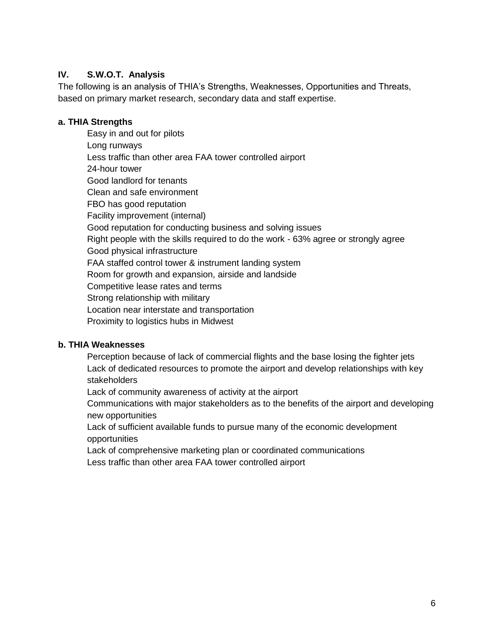## **IV. S.W.O.T. Analysis**

The following is an analysis of THIA's Strengths, Weaknesses, Opportunities and Threats, based on primary market research, secondary data and staff expertise.

#### **a. THIA Strengths**

Easy in and out for pilots Long runways Less traffic than other area FAA tower controlled airport 24-hour tower Good landlord for tenants Clean and safe environment FBO has good reputation Facility improvement (internal) Good reputation for conducting business and solving issues Right people with the skills required to do the work - 63% agree or strongly agree Good physical infrastructure FAA staffed control tower & instrument landing system Room for growth and expansion, airside and landside Competitive lease rates and terms Strong relationship with military Location near interstate and transportation Proximity to logistics hubs in Midwest

## **b. THIA Weaknesses**

Perception because of lack of commercial flights and the base losing the fighter jets Lack of dedicated resources to promote the airport and develop relationships with key stakeholders

Lack of community awareness of activity at the airport

Communications with major stakeholders as to the benefits of the airport and developing new opportunities

Lack of sufficient available funds to pursue many of the economic development opportunities

Lack of comprehensive marketing plan or coordinated communications Less traffic than other area FAA tower controlled airport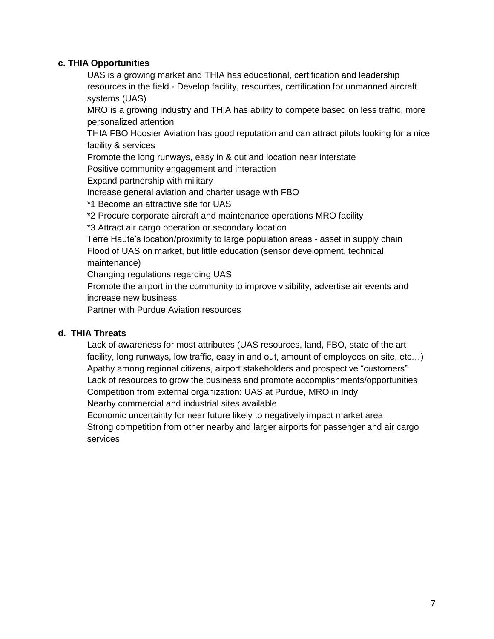#### **c. THIA Opportunities**

UAS is a growing market and THIA has educational, certification and leadership resources in the field - Develop facility, resources, certification for unmanned aircraft systems (UAS)

MRO is a growing industry and THIA has ability to compete based on less traffic, more personalized attention

THIA FBO Hoosier Aviation has good reputation and can attract pilots looking for a nice facility & services

Promote the long runways, easy in & out and location near interstate

Positive community engagement and interaction

Expand partnership with military

Increase general aviation and charter usage with FBO

\*1 Become an attractive site for UAS

\*2 Procure corporate aircraft and maintenance operations MRO facility

\*3 Attract air cargo operation or secondary location

Terre Haute's location/proximity to large population areas - asset in supply chain Flood of UAS on market, but little education (sensor development, technical maintenance)

Changing regulations regarding UAS

Promote the airport in the community to improve visibility, advertise air events and increase new business

Partner with Purdue Aviation resources

#### **d. THIA Threats**

Lack of awareness for most attributes (UAS resources, land, FBO, state of the art facility, long runways, low traffic, easy in and out, amount of employees on site, etc…) Apathy among regional citizens, airport stakeholders and prospective "customers" Lack of resources to grow the business and promote accomplishments/opportunities Competition from external organization: UAS at Purdue, MRO in Indy Nearby commercial and industrial sites available

Economic uncertainty for near future likely to negatively impact market area Strong competition from other nearby and larger airports for passenger and air cargo services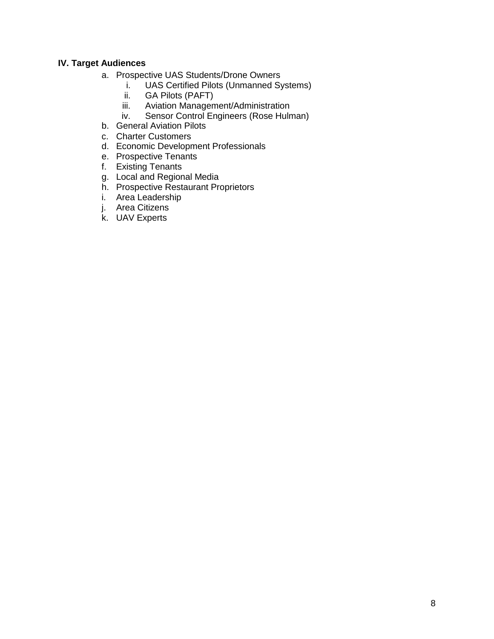#### **IV. Target Audiences**

- a. Prospective UAS Students/Drone Owners
	- i. UAS Certified Pilots (Unmanned Systems)
	- ii. GA Pilots (PAFT)
	- iii. Aviation Management/Administration
	- iv. Sensor Control Engineers (Rose Hulman)
- b. General Aviation Pilots
- c. Charter Customers
- d. Economic Development Professionals
- e. Prospective Tenants
- f. Existing Tenants
- g. Local and Regional Media
- h. Prospective Restaurant Proprietors
- i. Area Leadership
- j. Area Citizens
- k. UAV Experts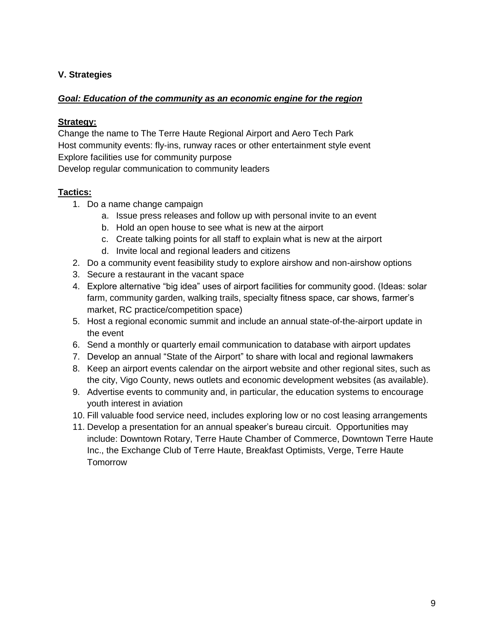## **V. Strategies**

#### *Goal: Education of the community as an economic engine for the region*

#### **Strategy:**

Change the name to The Terre Haute Regional Airport and Aero Tech Park Host community events: fly-ins, runway races or other entertainment style event Explore facilities use for community purpose

Develop regular communication to community leaders

- 1. Do a name change campaign
	- a. Issue press releases and follow up with personal invite to an event
	- b. Hold an open house to see what is new at the airport
	- c. Create talking points for all staff to explain what is new at the airport
		- d. Invite local and regional leaders and citizens
- 2. Do a community event feasibility study to explore airshow and non-airshow options
- 3. Secure a restaurant in the vacant space
- 4. Explore alternative "big idea" uses of airport facilities for community good. (Ideas: solar farm, community garden, walking trails, specialty fitness space, car shows, farmer's market, RC practice/competition space)
- 5. Host a regional economic summit and include an annual state-of-the-airport update in the event
- 6. Send a monthly or quarterly email communication to database with airport updates
- 7. Develop an annual "State of the Airport" to share with local and regional lawmakers
- 8. Keep an airport events calendar on the airport website and other regional sites, such as the city, Vigo County, news outlets and economic development websites (as available).
- 9. Advertise events to community and, in particular, the education systems to encourage youth interest in aviation
- 10. Fill valuable food service need, includes exploring low or no cost leasing arrangements
- 11. Develop a presentation for an annual speaker's bureau circuit. Opportunities may include: Downtown Rotary, Terre Haute Chamber of Commerce, Downtown Terre Haute Inc., the Exchange Club of Terre Haute, Breakfast Optimists, Verge, Terre Haute **Tomorrow**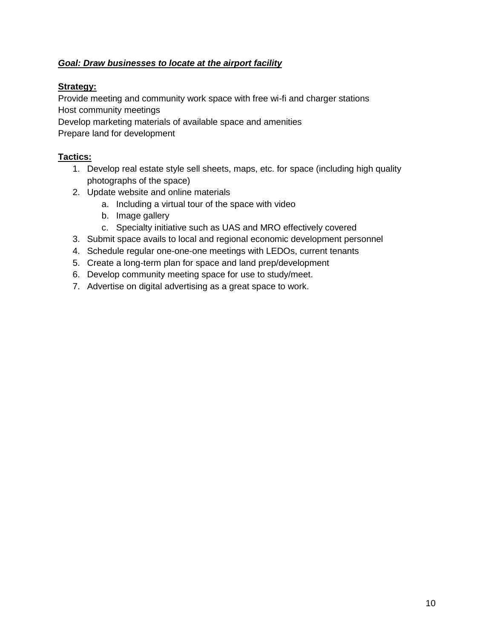## *Goal: Draw businesses to locate at the airport facility*

## **Strategy:**

Provide meeting and community work space with free wi-fi and charger stations Host community meetings

Develop marketing materials of available space and amenities

Prepare land for development

- 1. Develop real estate style sell sheets, maps, etc. for space (including high quality photographs of the space)
- 2. Update website and online materials
	- a. Including a virtual tour of the space with video
	- b. Image gallery
	- c. Specialty initiative such as UAS and MRO effectively covered
- 3. Submit space avails to local and regional economic development personnel
- 4. Schedule regular one-one-one meetings with LEDOs, current tenants
- 5. Create a long-term plan for space and land prep/development
- 6. Develop community meeting space for use to study/meet.
- 7. Advertise on digital advertising as a great space to work.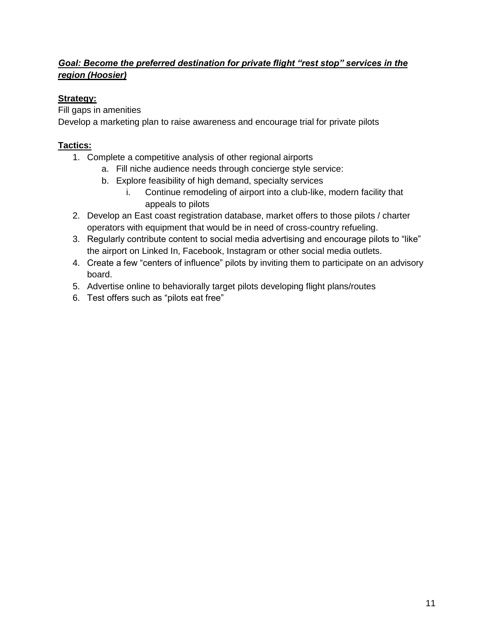# *Goal: Become the preferred destination for private flight "rest stop" services in the region (Hoosier)*

# **Strategy:**

Fill gaps in amenities

Develop a marketing plan to raise awareness and encourage trial for private pilots

- 1. Complete a competitive analysis of other regional airports
	- a. Fill niche audience needs through concierge style service:
	- b. Explore feasibility of high demand, specialty services
		- i. Continue remodeling of airport into a club-like, modern facility that appeals to pilots
- 2. Develop an East coast registration database, market offers to those pilots / charter operators with equipment that would be in need of cross-country refueling.
- 3. Regularly contribute content to social media advertising and encourage pilots to "like" the airport on Linked In, Facebook, Instagram or other social media outlets.
- 4. Create a few "centers of influence" pilots by inviting them to participate on an advisory board.
- 5. Advertise online to behaviorally target pilots developing flight plans/routes
- 6. Test offers such as "pilots eat free"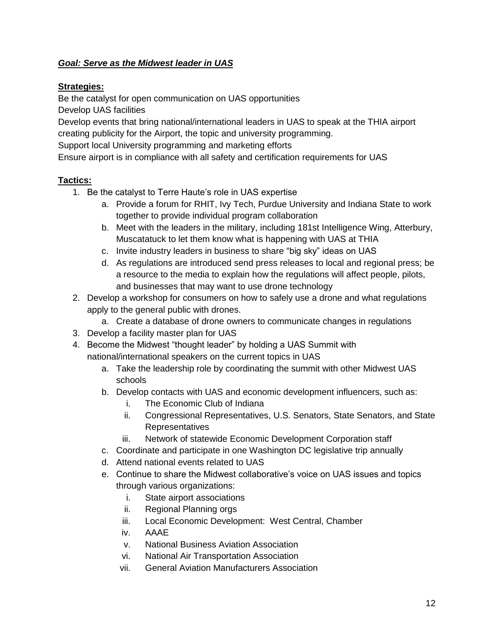## *Goal: Serve as the Midwest leader in UAS*

## **Strategies:**

Be the catalyst for open communication on UAS opportunities Develop UAS facilities

Develop events that bring national/international leaders in UAS to speak at the THIA airport creating publicity for the Airport, the topic and university programming.

Support local University programming and marketing efforts

Ensure airport is in compliance with all safety and certification requirements for UAS

- 1. Be the catalyst to Terre Haute's role in UAS expertise
	- a. Provide a forum for RHIT, Ivy Tech, Purdue University and Indiana State to work together to provide individual program collaboration
	- b. Meet with the leaders in the military, including 181st Intelligence Wing, Atterbury, Muscatatuck to let them know what is happening with UAS at THIA
	- c. Invite industry leaders in business to share "big sky" ideas on UAS
	- d. As regulations are introduced send press releases to local and regional press; be a resource to the media to explain how the regulations will affect people, pilots, and businesses that may want to use drone technology
- 2. Develop a workshop for consumers on how to safely use a drone and what regulations apply to the general public with drones.
	- a. Create a database of drone owners to communicate changes in regulations
- 3. Develop a facility master plan for UAS
- 4. Become the Midwest "thought leader" by holding a UAS Summit with national/international speakers on the current topics in UAS
	- a. Take the leadership role by coordinating the summit with other Midwest UAS schools
	- b. Develop contacts with UAS and economic development influencers, such as:
		- i. The Economic Club of Indiana
		- ii. Congressional Representatives, U.S. Senators, State Senators, and State Representatives
		- iii. Network of statewide Economic Development Corporation staff
	- c. Coordinate and participate in one Washington DC legislative trip annually
	- d. Attend national events related to UAS
	- e. Continue to share the Midwest collaborative's voice on UAS issues and topics through various organizations:
		- i. State airport associations
		- ii. Regional Planning orgs
		- iii. Local Economic Development: West Central, Chamber
		- iv. AAAE
		- v. National Business Aviation Association
		- vi. National Air Transportation Association
		- vii. General Aviation Manufacturers Association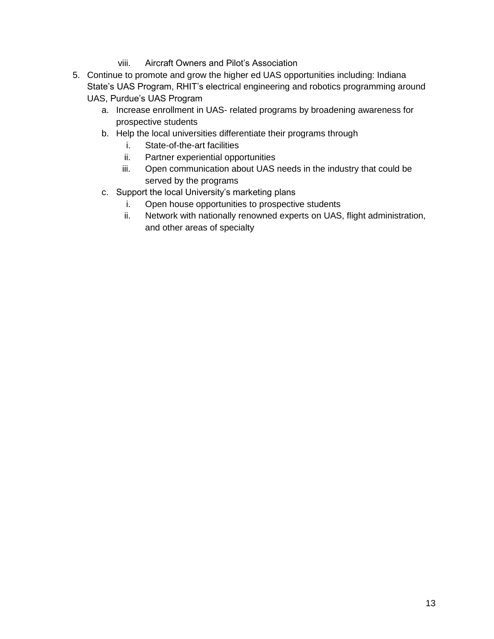- viii. Aircraft Owners and Pilot's Association
- 5. Continue to promote and grow the higher ed UAS opportunities including: Indiana State's UAS Program, RHIT's electrical engineering and robotics programming around UAS, Purdue's UAS Program
	- a. Increase enrollment in UAS- related programs by broadening awareness for prospective students
	- b. Help the local universities differentiate their programs through
		- i. State-of-the-art facilities
		- ii. Partner experiential opportunities
		- iii. Open communication about UAS needs in the industry that could be served by the programs
	- c. Support the local University's marketing plans
		- i. Open house opportunities to prospective students
		- ii. Network with nationally renowned experts on UAS, flight administration, and other areas of specialty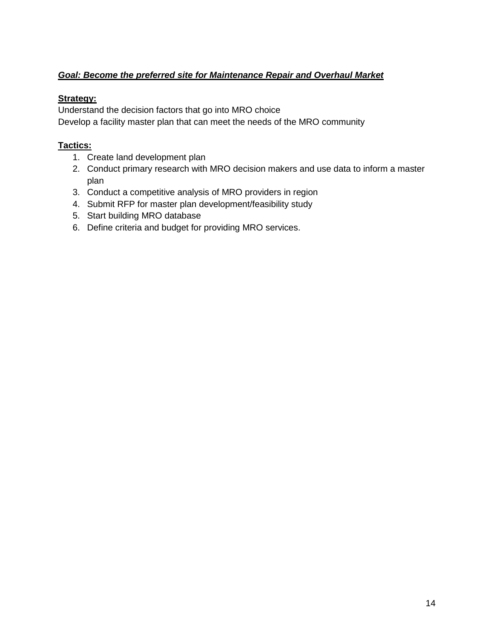# *Goal: Become the preferred site for Maintenance Repair and Overhaul Market*

#### **Strategy:**

Understand the decision factors that go into MRO choice Develop a facility master plan that can meet the needs of the MRO community

- 1. Create land development plan
- 2. Conduct primary research with MRO decision makers and use data to inform a master plan
- 3. Conduct a competitive analysis of MRO providers in region
- 4. Submit RFP for master plan development/feasibility study
- 5. Start building MRO database
- 6. Define criteria and budget for providing MRO services.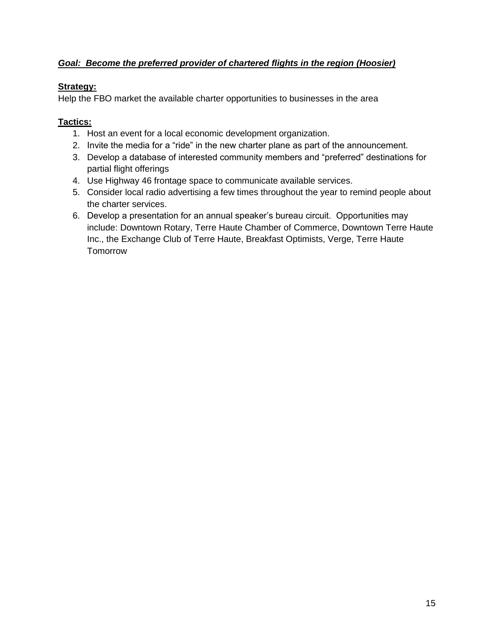## *Goal: Become the preferred provider of chartered flights in the region (Hoosier)*

## **Strategy:**

Help the FBO market the available charter opportunities to businesses in the area

- 1. Host an event for a local economic development organization.
- 2. Invite the media for a "ride" in the new charter plane as part of the announcement.
- 3. Develop a database of interested community members and "preferred" destinations for partial flight offerings
- 4. Use Highway 46 frontage space to communicate available services.
- 5. Consider local radio advertising a few times throughout the year to remind people about the charter services.
- 6. Develop a presentation for an annual speaker's bureau circuit. Opportunities may include: Downtown Rotary, Terre Haute Chamber of Commerce, Downtown Terre Haute Inc., the Exchange Club of Terre Haute, Breakfast Optimists, Verge, Terre Haute **Tomorrow**